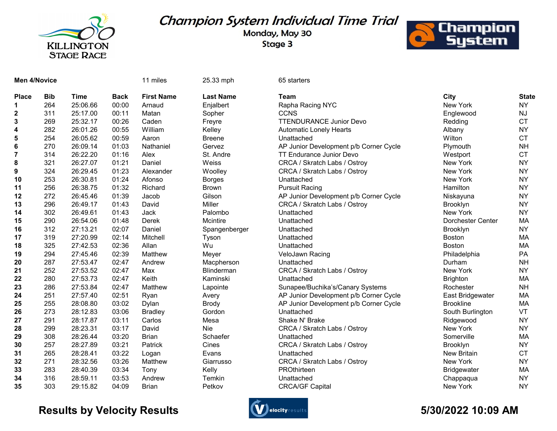

## **Champion System Individual Time Trial**

Monday, May 30 Stage 3



| <b>Men 4/Novice</b> |            |             |             | 11 miles          | 25.33 mph        | 65 starters                            |                    |              |
|---------------------|------------|-------------|-------------|-------------------|------------------|----------------------------------------|--------------------|--------------|
| <b>Place</b>        | <b>Bib</b> | <b>Time</b> | <b>Back</b> | <b>First Name</b> | <b>Last Name</b> | <b>Team</b>                            | City               | <b>State</b> |
| 1                   | 264        | 25:06.66    | 00:00       | Arnaud            | Enjalbert        | Rapha Racing NYC                       | New York           | <b>NY</b>    |
| $\mathbf{2}$        | 311        | 25:17.00    | 00:11       | Matan             | Sopher           | <b>CCNS</b>                            | Englewood          | NJ           |
| 3                   | 269        | 25:32.17    | 00:26       | Caden             | Freyre           | <b>TTENDURANCE Junior Devo</b>         | Redding            | <b>CT</b>    |
| 4                   | 282        | 26:01.26    | 00:55       | William           | Kelley           | <b>Automatic Lonely Hearts</b>         | Albany             | <b>NY</b>    |
| 5                   | 254        | 26:05.62    | 00:59       | Aaron             | <b>Breene</b>    | Unattached                             | Wilton             | <b>CT</b>    |
| 6                   | 270        | 26:09.14    | 01:03       | Nathaniel         | Gervez           | AP Junior Development p/b Corner Cycle | Plymouth           | <b>NH</b>    |
| 7                   | 314        | 26:22.20    | 01:16       | Alex              | St. Andre        | <b>TT Endurance Junior Devo</b>        | Westport           | <b>CT</b>    |
| 8                   | 321        | 26:27.07    | 01:21       | Daniel            | Weiss            | CRCA / Skratch Labs / Ostroy           | New York           | <b>NY</b>    |
| 9                   | 324        | 26:29.45    | 01:23       | Alexander         | Woolley          | CRCA / Skratch Labs / Ostroy           | New York           | <b>NY</b>    |
| 10                  | 253        | 26:30.81    | 01:24       | Afonso            | <b>Borges</b>    | Unattached                             | New York           | <b>NY</b>    |
| 11                  | 256        | 26:38.75    | 01:32       | Richard           | <b>Brown</b>     | <b>Pursuit Racing</b>                  | Hamilton           | <b>NY</b>    |
| 12                  | 272        | 26:45.46    | 01:39       | Jacob             | Gilson           | AP Junior Development p/b Corner Cycle | Niskayuna          | <b>NY</b>    |
| 13                  | 296        | 26:49.17    | 01:43       | David             | Miller           | CRCA / Skratch Labs / Ostroy           | <b>Brooklyn</b>    | <b>NY</b>    |
| 14                  | 302        | 26:49.61    | 01:43       | Jack              | Palombo          | Unattached                             | New York           | <b>NY</b>    |
| 15                  | 290        | 26:54.06    | 01:48       | Derek             | Mcintire         | Unattached                             | Dorchester Center  | MA           |
| 16                  | 312        | 27:13.21    | 02:07       | Daniel            | Spangenberger    | Unattached                             | Brooklyn           | <b>NY</b>    |
| 17                  | 319        | 27:20.99    | 02:14       | Mitchell          | Tyson            | Unattached                             | <b>Boston</b>      | <b>MA</b>    |
| 18                  | 325        | 27:42.53    | 02:36       | Allan             | Wu               | Unattached                             | <b>Boston</b>      | MA           |
| 19                  | 294        | 27:45.46    | 02:39       | Matthew           | Meyer            | VeloJawn Racing                        | Philadelphia       | PA           |
| 20                  | 287        | 27:53.47    | 02:47       | Andrew            | Macpherson       | Unattached                             | Durham             | <b>NH</b>    |
| 21                  | 252        | 27:53.52    | 02:47       | Max               | Blinderman       | CRCA / Skratch Labs / Ostroy           | New York           | <b>NY</b>    |
| 22                  | 280        | 27:53.73    | 02:47       | Keith             | Kaminski         | Unattached                             | <b>Brighton</b>    | MA           |
| 23                  | 286        | 27:53.84    | 02:47       | Matthew           | Lapointe         | Sunapee/Buchika's/Canary Systems       | Rochester          | <b>NH</b>    |
| 24                  | 251        | 27:57.40    | 02:51       | Ryan              | Avery            | AP Junior Development p/b Corner Cycle | East Bridgewater   | MA           |
| 25                  | 255        | 28:08.80    | 03:02       | Dylan             | <b>Brody</b>     | AP Junior Development p/b Corner Cycle | <b>Brookline</b>   | MA           |
| 26                  | 273        | 28:12.83    | 03:06       | <b>Bradley</b>    | Gordon           | Unattached                             | South Burlington   | VT           |
| 27                  | 291        | 28:17.87    | 03:11       | Carlos            | Mesa             | Shake N' Brake                         | Ridgewood          | <b>NY</b>    |
| 28                  | 299        | 28:23.31    | 03:17       | David             | <b>Nie</b>       | CRCA / Skratch Labs / Ostroy           | New York           | <b>NY</b>    |
| 29                  | 308        | 28:26.44    | 03:20       | <b>Brian</b>      | Schaefer         | Unattached                             | Somerville         | <b>MA</b>    |
| 30                  | 257        | 28:27.89    | 03:21       | Patrick           | Cines            | CRCA / Skratch Labs / Ostroy           | Brooklyn           | <b>NY</b>    |
| 31                  | 265        | 28:28.41    | 03:22       | Logan             | Evans            | Unattached                             | New Britain        | <b>CT</b>    |
| 32                  | 271        | 28:32.56    | 03:26       | Matthew           | Giarrusso        | CRCA / Skratch Labs / Ostroy           | New York           | <b>NY</b>    |
| 33                  | 283        | 28:40.39    | 03:34       | Tony              | Kelly            | PROthirteen                            | <b>Bridgewater</b> | MA           |
| 34                  | 316        | 28:59.11    | 03:53       | Andrew            | Temkin           | Unattached                             | Chappaqua          | <b>NY</b>    |
| 35                  | 303        | 29:15.82    | 04:09       | <b>Brian</b>      | Petkov           | <b>CRCA/GF Capital</b>                 | New York           | <b>NY</b>    |

| City               | State     |
|--------------------|-----------|
| <b>New York</b>    | NY        |
| Englewood          | NJ        |
| Redding            | <b>CT</b> |
| Albany             | NY        |
| Wilton             | <b>CT</b> |
| Plymouth           | NΗ        |
| Westport           | <b>CT</b> |
| <b>New York</b>    | NY        |
| <b>New York</b>    | NY        |
| <b>New York</b>    | NY        |
| Hamilton           | NY        |
| Niskayuna          | ΝY        |
| Brooklyn           | NY        |
| <b>New York</b>    | NY        |
| Dorchester Center  | МA        |
| Brooklyn           | <b>NY</b> |
| <b>Boston</b>      | MA        |
| Boston             | MA        |
| Philadelphia       | РA        |
| Durham             | NΗ        |
| <b>New York</b>    | NY        |
| <b>Brighton</b>    | МA        |
| Rochester          | NΗ        |
| East Bridgewater   | MA        |
| Brookline          | MA        |
| South Burlington   | VT        |
| Ridgewood          | NY        |
| <b>New York</b>    | NY        |
| Somerville         | МA        |
| Brooklyn           | NY        |
| <b>New Britain</b> | <b>CT</b> |
| <b>New York</b>    | NY        |
| Bridgewater        | МA        |
| Chappaqua          | NY        |
| New York           | NY        |

## Results by Velocity Results **Contract Control** electry results **6/30/2022 10:09 AM**